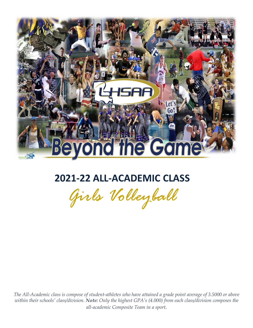

# **2021-22 ALL-ACADEMIC CLASS**

*Girls Volleyball*

*The All-Academic class is compose of student-athletes who have attained a grade point average of 3.5000 or above within their schools' class/division. Note: Only the highest GPA's (4.000) from each class/division composes the all-academic Composite Team in a sport.*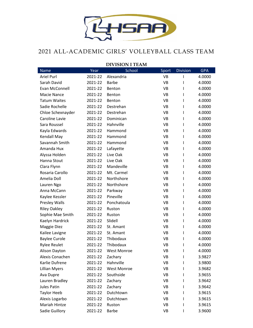

## 2021 ALL-ACADEMIC GIRLS' VOLLEYBALL CLASS TEAM

| <b>DIVISION I TEAM</b> |         |                    |           |                 |            |
|------------------------|---------|--------------------|-----------|-----------------|------------|
| <b>Name</b>            | Year    | School             | Sport     | <b>Division</b> | <b>GPA</b> |
| <b>Ariel Purl</b>      | 2021-22 | Alexandria         | <b>VB</b> |                 | 4.0000     |
| Sarah David            | 2021-22 | <b>Barbe</b>       | VB        | ı               | 4.0000     |
| Evan McConnell         | 2021-22 | Benton             | <b>VB</b> | I               | 4.0000     |
| <b>Macie Nance</b>     | 2021-22 | Benton             | <b>VB</b> | I               | 4.0000     |
| <b>Tatum Waites</b>    | 2021-22 | Benton             | VB        | I               | 4.0000     |
| Sadie Rochelle         | 2021-22 | Destrehan          | <b>VB</b> | I               | 4.0000     |
| Chloe Schexnayder      | 2021-22 | Destrehan          | VB        | I               | 4.0000     |
| Caroline Lavie         | 2021-22 | Dominican          | <b>VB</b> | I               | 4.0000     |
| Sara Roussel           | 2021-22 | Hahnville          | VB        | I               | 4.0000     |
| Kayla Edwards          | 2021-22 | Hammond            | VB        | L               | 4.0000     |
| Kendall May            | 2021-22 | Hammond            | <b>VB</b> | I               | 4.0000     |
| Savannah Smith         | 2021-22 | Hammond            | VB        | I               | 4.0000     |
| Amanda Hux             | 2021-22 | Lafayette          | <b>VB</b> | I               | 4.0000     |
| Alyssa Holden          | 2021-22 | Live Oak           | <b>VB</b> | I               | 4.0000     |
| Hanna Stout            | 2021-22 | Live Oak           | VB        | I               | 4.0000     |
| Clara Flynn            | 2021-22 | Mandeville         | <b>VB</b> | I               | 4.0000     |
| Rosaria Carollo        | 2021-22 | Mt. Carmel         | VB        | I               | 4.0000     |
| Amelia Doll            | 2021-22 | Northshore         | <b>VB</b> | I               | 4.0000     |
| Lauren Ngo             | 2021-22 | Northshore         | VB        | ı               | 4.0000     |
| Anna McCann            | 2021-22 | Parkway            | <b>VB</b> | I               | 4.0000     |
| Kaylee Kessler         | 2021-22 | Pineville          | VB        | ı               | 4.0000     |
| Presley Walls          | 2021-22 | Ponchatoula        | VB        | I               | 4.0000     |
| <b>Riley Oakley</b>    | 2021-22 | Ruston             | <b>VB</b> | I               | 4.0000     |
| Sophie Mae Smith       | 2021-22 | Ruston             | VB        | I               | 4.0000     |
| Kaelyn Hardrick        | 2021-22 | Slidell            | VB        | I               | 4.0000     |
| Maggie Diez            | 2021-22 | St. Amant          | VB        | I               | 4.0000     |
| Kailee Lavigne         | 2021-22 | St. Amant          | <b>VB</b> | I               | 4.0000     |
| <b>Baylee Curole</b>   | 2021-22 | Thibodaux          | <b>VB</b> | I               | 4.0000     |
| <b>Rylee Reulet</b>    | 2021-22 | Thibodaux          | <b>VB</b> | I               | 4.0000     |
| Alison Dayton          | 2021-22 | <b>West Monroe</b> | VB        | I               | 4.0000     |
| Alexis Conachen        | 2021-22 | Zachary            | VB        |                 | 3.9827     |
| Karlie Dufrene         | 2021-22 | Hahnville          | VB        |                 | 3.9800     |
| <b>Lillian Myers</b>   | 2021-22 | <b>West Monroe</b> | VB        | I               | 3.9682     |
| Ava Dupre              | 2021-22 | Southside          | VB        | L               | 3.9655     |
| Lauren Bradley         | 2021-22 | Zachary            | VB        | L               | 3.9642     |
| <b>Jules Patin</b>     | 2021-22 | Zachary            | VB        |                 | 3.9642     |
| <b>Taylor Heeb</b>     | 2021-22 | Dutchtown          | VB        |                 | 3.9615     |
| Alexis Logarbo         | 2021-22 | Dutchtown          | VB        |                 | 3.9615     |
| Mariah Hintze          | 2021-22 | Ruston             | VB        |                 | 3.9615     |
| Sadie Guillory         | 2021-22 | <b>Barbe</b>       | VB        | I               | 3.9600     |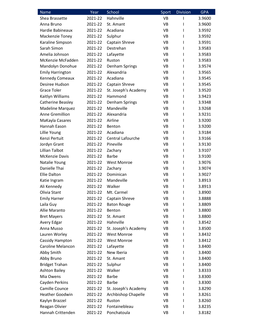| <b>Name</b>             | Year    | School               | Sport     | <b>Division</b> | <b>GPA</b> |
|-------------------------|---------|----------------------|-----------|-----------------|------------|
| Shea Brassette          | 2021-22 | Hahnville            | <b>VB</b> | ı               | 3.9600     |
| Anna Bruno              | 2021-22 | St. Amant            | <b>VB</b> | ı               | 3.9600     |
| Hardie Babineaux        | 2021-22 | Acadiana             | VB        | I               | 3.9592     |
| Mackenzie Toney         | 2021-22 | Sulphur              | <b>VB</b> | ı               | 3.9592     |
| Karaline Simpson        | 2021-22 | Captain Shreve       | VB        | ı               | 3.9591     |
| Sarah Simon             | 2021-22 | Destrehan            | VB        | ı               | 3.9583     |
| Amelia Johnson          | 2021-22 | Lafayette            | VB        | ı               | 3.9583     |
| McKenzie McFadden       | 2021-22 | Ruston               | VB        | L               | 3.9583     |
| Mandolyn Donohue        | 2021-22 | Denham Springs       | <b>VB</b> | ı               | 3.9574     |
| <b>Emily Harrington</b> | 2021-22 | Alexandria           | VB        | <sup>1</sup>    | 3.9565     |
| Kennedy Comeaux         | 2021-22 | Acadiana             | VB        | I               | 3.9545     |
| Desiree Hudson          | 2021-22 | Captain Shreve       | VB        | ı               | 3.9545     |
| <b>Grace Toler</b>      | 2021-22 | St. Joseph's Academy | VB        | L               | 3.9520     |
| Kaitlyn Williams        | 2021-22 | Hammond              | <b>VB</b> | I               | 3.9423     |
| Catherine Beasley       | 2021-22 | Denham Springs       | VB        | I.              | 3.9348     |
| <b>Madeline Marquez</b> | 2021-22 | Mandeville           | VB        | ı               | 3.9268     |
| Anne Gremillion         | 2021-22 | Alexandria           | VB        | ı               | 3.9231     |
| MaKayla Casares         | 2021-22 | Airline              | VB        | ı               | 3.9200     |
| Hannah Eason            | 2021-22 | Benton               | <b>VB</b> | ı               | 3.9200     |
| Lillie Young            | 2021-22 | Acadiana             | VB        | ı               | 3.9184     |
| Kenzi Pertuit           | 2021-22 | Central Lafourche    | VB        | ı               | 3.9166     |
| Jordyn Grant            | 2021-22 | Pineville            | VB        | I               | 3.9130     |
| <b>Lillian Talbot</b>   | 2021-22 | Zachary              | <b>VB</b> | ı               | 3.9107     |
| <b>McKenzie Davis</b>   | 2021-22 | <b>Barbe</b>         | VB        | $\mathbf{I}$    | 3.9100     |
| Natalie Young           | 2021-22 | <b>West Monroe</b>   | VB        | L               | 3.9076     |
| Danielle Thai           | 2021-22 | Zachary              | VB        | ı               | 3.9074     |
| <b>Ellie Dalton</b>     | 2021-22 | Dominican            | VB        | I               | 3.9027     |
| Katie Ingram            | 2021-22 | Mandeville           | <b>VB</b> | ı               | 3.8913     |
| Ali Kennedy             | 2021-22 | Walker               | VB        | ı               | 3.8913     |
| Olivia Stant            | 2021-22 | Mt. Carmel           | <b>VB</b> | ı               | 3.8900     |
| <b>Emily Harner</b>     | 2021-22 | Captain Shreve       | VB        | I               | 3.8888     |
| Laila Guy               | 2021-22 | <b>Baton Rouge</b>   | VB        | I.              | 3.8809     |
| Allie Maranto           | 2021-22 | Benton               | VB        | I               | 3.8800     |
| <b>Bret Mayers</b>      | 2021-22 | St. Amant            | VB        | I               | 3.8800     |
| Avery Edgar             | 2021-22 | Hahnville            | VB        | I               | 3.8542     |
| Anna Musso              | 2021-22 | St. Joseph's Academy | VB        | L               | 3.8500     |
| Lauren Worley           | 2021-22 | <b>West Monroe</b>   | VB        | I.              | 3.8432     |
| Cassidy Hampton         | 2021-22 | West Monroe          | VB        | I               | 3.8412     |
| Caroline Melancon       | 2021-22 | Lafayette            | VB        | I.              | 3.8400     |
| Abby Smith              | 2021-22 | New Iberia           | VB        | I               | 3.8400     |
| Abby Bruno              | 2021-22 | St. Amant            | VB        | ı               | 3.8400     |
| <b>Bridget Trahan</b>   | 2021-22 | Sulphur              | VB        | L               | 3.8400     |
| <b>Ashton Bailey</b>    | 2021-22 | Walker               | VB        | I               | 3.8333     |
| Mia Owens               | 2021-22 | <b>Barbe</b>         | VB        | I               | 3.8300     |
| Cayden Perkins          | 2021-22 | <b>Barbe</b>         | VB        | I               | 3.8300     |
| Camille Counce          | 2021-22 | St. Joseph's Academy | VB        | I               | 3.8290     |
| <b>Heather Goodwin</b>  | 2021-22 | Archbishop Chapelle  | VB        | I               | 3.8261     |
| Kaylyn Brazzel          | 2021-22 | Ruston               | VB        | ı               | 3.8260     |
| Reagan Olivier          | 2021-22 | Fontainebleau        | VB        | ı               | 3.8235     |
| Hannah Crittenden       | 2021-22 | Ponchatoula          | VB        | I               | 3.8182     |
|                         |         |                      |           |                 |            |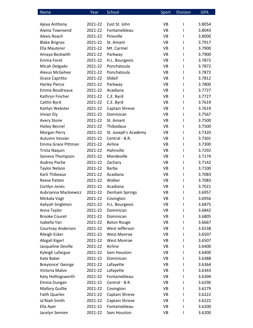| <b>Name</b>              | Year    | School               | Sport     | <b>Division</b> | <b>GPA</b> |
|--------------------------|---------|----------------------|-----------|-----------------|------------|
|                          |         |                      |           |                 |            |
| Ajeya Anthony            | 2021-22 | East St. John        | VB        | T               | 3.8054     |
| Alaina Townsend          | 2021-22 | Fontainebleau        | <b>VB</b> | T               | 3.8043     |
| Alexis Roach             | 2021-22 | Pineville            | <b>VB</b> | T               | 3.8000     |
| <b>Blake Brignac</b>     | 2021-22 | St. Amant            | VB        | T               | 3.7917     |
| Ella Mauterer            | 2021-22 | Mt. Carmel           | <b>VB</b> | T               | 3.7900     |
| Amaya Beckwith           | 2021-22 | Parkway              | VB        | $\mathsf{I}$    | 3.7900     |
| Emma Foret               | 2021-22 | H.L. Bourgeois       | <b>VB</b> | T               | 3.7872     |
| Micah Delgado            | 2021-22 | Ponchatoula          | <b>VB</b> | T               | 3.7872     |
| Alexus McGehee           | 2021-22 | Ponchatoula          | VB        | L               | 3.7872     |
| <b>Grace Capritto</b>    | 2021-22 | Slidell              | <b>VB</b> | T               | 3.7812     |
| <b>Harley Pierce</b>     | 2021-22 | Parkway              | VB        | T               | 3.7800     |
| Emma Boudreaux           | 2021-22 | Acadiana             | <b>VB</b> | T               | 3.7727     |
| Kathryn Fincher          | 2021-22 | C.E. Byrd            | VB        | T               | 3.7727     |
| Caitlin Byrd             | 2021-22 | C.E. Byrd            | VB        | T               | 3.7619     |
| Kaitlyn Webster          | 2021-22 | Captain Shreve       | VB        | T               | 3.7619     |
| Vivian Ely               | 2021-22 | Dominican            | VB        | L               | 3.7567     |
| <b>Avery Stone</b>       | 2021-22 | St. Amant            | <b>VB</b> | T               | 3.7500     |
| <b>Hailey Becnel</b>     | 2021-22 | Thibodaux            | VB        | T               | 3.7500     |
| Morgan Perry             | 2021-22 | St. Joseph's Academy | VB        | T               | 3.7320     |
| Autumn Vessier           | 2021-22 | Central - B.R.       | <b>VB</b> | T               | 3.7301     |
| Emma Grace Pittman       | 2021-22 | Airline              | <b>VB</b> | L               | 3.7300     |
| <b>Trista Naquin</b>     | 2021-22 | Hahnville            | <b>VB</b> | T               | 3.7292     |
| Geneva Thompson          | 2021-22 | Mandeville           | VB        | T               | 3.7174     |
| <b>Audrey Poche</b>      | 2021-22 | Zachary              | VB        | T               | 3.7142     |
| <b>Taylor Nelson</b>     | 2021-22 | <b>Barbe</b>         | VB        | T               | 3.7100     |
| Karli Thibeaux           | 2021-22 | Acadiana             | <b>VB</b> | T               | 3.7083     |
| <b>Reese Patten</b>      | 2021-22 | Walker               | <b>VB</b> | T               | 3.7083     |
| Cortlyn Jones            | 2021-22 | Acadiana             | <b>VB</b> | L               | 3.7021     |
| Aubrianna Mackiewicz     | 2021-22 | Denham Springs       | <b>VB</b> | $\mathsf{I}$    | 3.6957     |
| Mickala Vogt             | 2021-22 | Covington            | VB        | I               | 3.6956     |
| Aaliyah Singleton        | 2021-22 | H.L. Bourgeois       | <b>VB</b> | L               | 3.6875     |
| Anna Taylor              | 2021-22 | Dominican            | VB        | L               | 3.6842     |
| <b>Brooke Couret</b>     | 2021-22 | Dominican            | VB        | L               | 3.6805     |
| Isabella Yan             | 2021-22 | <b>Baton Rouge</b>   | <b>VB</b> | L               | 3.6667     |
| <b>Courtney Anderson</b> | 2021-22 | West Jefferson       | VB        | L               | 3.6538     |
| <b>Rileigh Ecker</b>     | 2021-22 | <b>West Monroe</b>   | VB        | L               | 3.6507     |
| Abigail Kigerl           | 2021-22 | West Monroe          | VB        | L               | 3.6507     |
| Jacqueline Deville       | 2021-22 | Airline              | VB        | L               | 3.6400     |
| Kyleigh Lafargue         | 2021-22 | Sam Houston          | <b>VB</b> | L               | 3.6400     |
| Kate Baker               | 2021-22 | Dominican            | VB        | L               | 3.6388     |
| Breyionce' George        | 2021-22 | Lafayette            | <b>VB</b> | L               | 3.6364     |
| Victoria Malvo           | 2021-22 | Lafayette            | VB        | L               | 3.6343     |
| Katy Hollingsworth       | 2021-22 | Fontainebleau        | <b>VB</b> | L               | 3.6304     |
| Emma Dungan              | 2021-22 | Central - B.R.       | VB        | L               | 3.6296     |
| <b>Mallory Guillie</b>   | 2021-22 | Covington            | VB        | L               | 3.6279     |
| <b>Faith Quarles</b>     | 2021-22 | Captain Shreve       | VB        | L               | 3.6222     |
| Ja'Niah Smith            | 2021-22 | Captain Shreve       | VB        | I               | 3.6222     |
| Ella Ayer                | 2021-22 | Fontainebleau        | VB        | L               | 3.6200     |
| Jacelyn Semien           | 2021-22 | Sam Houston          | VB        | I               | 3.6200     |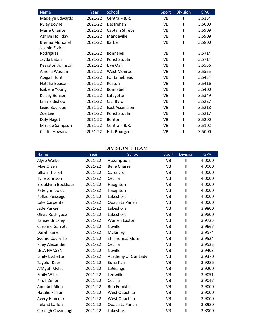| Name                   | Year    | School                | Sport     | <b>Division</b> | <b>GPA</b> |
|------------------------|---------|-----------------------|-----------|-----------------|------------|
| Madelyn Edwards        | 2021-22 | Central - B.R.        | <b>VB</b> |                 | 3.6154     |
| Ryley Boyne            | 2021-22 | Destrehan             | <b>VB</b> |                 | 3.6000     |
| Marie Chance           | 2021-22 | Captain Shreve        | <b>VB</b> |                 | 3.5909     |
| Ashlyn Holliday        | 2021-22 | Mandeville            | VB        |                 | 3.5909     |
| <b>Brenna Moncrief</b> | 2021-22 | <b>Barbe</b>          | <b>VB</b> |                 | 3.5800     |
| Jasmin Elvira-         |         |                       |           |                 |            |
| Rodriguez              | 2021-22 | Bonnabel              | <b>VB</b> |                 | 3.5714     |
| Jayda Babin            | 2021-22 | Ponchatoula           | <b>VB</b> |                 | 3.5714     |
| Kearston Johnson       | 2021-22 | Live Oak              | <b>VB</b> |                 | 3.5556     |
| Ameila Wassan          | 2021-22 | <b>West Monroe</b>    | <b>VB</b> |                 | 3.5555     |
| Abigail Hunt           | 2021-22 | Fontainebleau         | <b>VB</b> |                 | 3.5434     |
| Natalie Beason         | 2021-22 | Ruston                | <b>VB</b> |                 | 3.5416     |
| Isabelle Young         | 2021-22 | Bonnabel              | <b>VB</b> |                 | 3.5400     |
| Kelsey Benson          | 2021-22 | Lafayette             | <b>VB</b> |                 | 3.5349     |
| Emma Bishop            | 2021-22 | C.E. Byrd             | VB        |                 | 3.5227     |
| Lexie Bourque          | 2021-22 | <b>East Ascension</b> | <b>VB</b> |                 | 3.5218     |
| Zoe Lee                | 2021-22 | Ponchatoula           | <b>VB</b> |                 | 3.5217     |
| Daly Nagot             | 2021-22 | Benton                | VB        |                 | 3.5200     |
| Mirakle Sampson        | 2021-22 | Central - B.R.        | VB        |                 | 3.5102     |
| Caitlin Howard         | 2021-22 | H.L. Bourgeois        | VB        |                 | 3.5000     |

#### **DIVISION II TEAM**

| <b>Name</b>             | Year    | School                 | Sport     | <b>Division</b> | <b>GPA</b> |
|-------------------------|---------|------------------------|-----------|-----------------|------------|
| Alyse Walker            | 2021-22 | Assumption             | <b>VB</b> | $\mathsf{II}$   | 4.0000     |
| Mae Olsen               | 2021-22 | <b>Belle Chasse</b>    | VB        | $\mathsf{II}$   | 4.0000     |
| <b>Lillian Theriot</b>  | 2021-22 | Carencro               | VB        | Ш               | 4.0000     |
| Tylie Johnson           | 2021-22 | Cecilia                | VB        | $\mathsf{II}$   | 4.0000     |
| Brooklynn Bockhaus      | 2021-22 | Haughton               | <b>VB</b> | $\sf II$        | 4.0000     |
| Katelynn Boldt          | 2021-22 | Haughton               | <b>VB</b> | $\mathsf{II}$   | 4.0000     |
| Kellee Puissegur        | 2021-22 | Lakeshore              | <b>VB</b> | $\mathsf{II}$   | 4.0000     |
| Lake Carpenter          | 2021-22 | <b>Ouachita Parish</b> | VB        | $\mathsf{II}$   | 4.0000     |
| Jade Parker             | 2021-22 | Lakeshore              | VB        | $\mathsf{II}$   | 3.9800     |
| Olivia Rodriguez        | 2021-22 | Lakeshore              | VB        | $\mathsf{II}$   | 3.9800     |
| Tahjae Brickley         | 2021-22 | <b>Warren Easton</b>   | VB        | Ш               | 3.9725     |
| <b>Caroline Garrett</b> | 2021-22 | Neville                | VB        | $\mathsf{II}$   | 3.9667     |
| Darah Ranel             | 2021-22 | McKinley               | VB        | $\sf II$        | 3.9574     |
| Sydnie Courville        | 2021-22 | St. Thomas More        | VB        | $\mathsf{II}$   | 3.9524     |
| <b>Riley Alexander</b>  | 2021-22 | Cecilia                | VB        | $\sf II$        | 3.9523     |
| <b>LELA HANSEN</b>      | 2021-22 | <b>Neville</b>         | <b>VB</b> | $\mathsf{II}$   | 3.9403     |
| <b>Emily Eschette</b>   | 2021-22 | Academy of Our Lady    | VB        | $\mathsf{II}$   | 3.9370     |
| <b>Tayelor Kees</b>     | 2021-22 | Edna Karr              | VB        | $\mathsf{II}$   | 3.9286     |
| A'Myah Myles            | 2021-22 | LaGrange               | <b>VB</b> | $\mathsf{II}$   | 3.9200     |
| <b>Emily Willis</b>     | 2021-22 | Leesville              | VB        | $\mathbf{I}$    | 3.9091     |
| Kinzli Zenon            | 2021-22 | Cecilia                | VB        | Ш               | 3.9047     |
| <b>Annabel Allen</b>    | 2021-22 | <b>Ben Franklin</b>    | VB        | $\sf II$        | 3.9000     |
| Natalie Farrar          | 2021-22 | West Ouachita          | VB        | $\sf II$        | 3.9000     |
| <b>Avery Hancock</b>    | 2021-22 | West Ouachita          | VB        | $\sf II$        | 3.9000     |
| <b>Ireland Laffon</b>   | 2021-22 | <b>Ouachita Parish</b> | VB        | $\mathbf{I}$    | 3.8980     |
| Carleigh Cavanaugh      | 2021-22 | Lakeshore              | VB        | $\mathsf{II}$   | 3.8900     |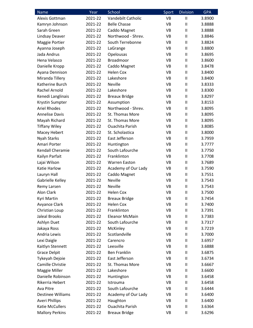| <b>Name</b>              | Year    | School                 | Sport     | <b>Division</b>        | <b>GPA</b> |
|--------------------------|---------|------------------------|-----------|------------------------|------------|
| Alexis Gottman           | 2021-22 | Vandebilt Catholic     | <b>VB</b> | $\mathsf{I}$           | 3.8900     |
| Kamryn Johnson           | 2021-22 | <b>Belle Chasse</b>    | VB        | $\mathbf{I}$           | 3.8888     |
| Sarah Green              | 2021-22 | Caddo Magnet           | <b>VB</b> | $\mathsf{I}$           | 3.8888     |
| Lindsay Deaver           | 2021-22 | Northwood - Shrev.     | <b>VB</b> | $\mathbf{I}$           | 3.8846     |
| Maggie Portier           | 2021-22 | South Terrebonne       | <b>VB</b> | $\mathsf{I}$           | 3.8824     |
| Ayanna Joseph            | 2021-22 | LaGrange               | <b>VB</b> | $\mathsf{II}$          | 3.8800     |
| Jada Andrus              | 2021-22 | Opelousas              | VB        | $\mathsf{I}\mathsf{I}$ | 3.8695     |
| Hena Velasco             | 2021-22 | Broadmoor              | <b>VB</b> | $\mathsf{I}$           | 3.8600     |
| Danielle Kropp           | 2021-22 | Caddo Magnet           | <b>VB</b> | $\mathsf{I}\mathsf{I}$ | 3.8478     |
| Ayana Dennison           | 2021-22 | <b>Helen Cox</b>       | <b>VB</b> | $\mathsf{I}$           | 3.8400     |
| Miranda Tillery          | 2021-22 | Lakeshore              | <b>VB</b> | $\mathbf{I}$           | 3.8400     |
| Katherine Burch          | 2021-22 | Neville                | <b>VB</b> | $\mathsf{I}\mathsf{I}$ | 3.8333     |
| Rachel Arnold            | 2021-22 | Lakeshore              | VB        | $\mathsf{I}$           | 3.8300     |
| Kenedi Langlinais        | 2021-22 | <b>Breaux Bridge</b>   | <b>VB</b> | $\mathsf{I}\mathsf{I}$ | 3.8297     |
| Krystin Sumpter          | 2021-22 | Assumption             | <b>VB</b> | $\mathsf{I}$           | 3.8153     |
| <b>Ariel Rhodes</b>      | 2021-22 | Northwood - Shrev.     | <b>VB</b> | $\mathbf{I}$           | 3.8095     |
| <b>Annelise Davis</b>    | 2021-22 | St. Thomas More        | <b>VB</b> | Ш                      | 3.8095     |
| Mayah Richard            | 2021-22 | St. Thomas More        | <b>VB</b> | $\mathbf{I}$           | 3.8095     |
| <b>Tiffany Wiley</b>     | 2021-22 | <b>Ouachita Parish</b> | VB        | $\mathsf{I}\mathsf{I}$ | 3.8085     |
| Macey Hebert             | 2021-22 | St. Scholastica        | <b>VB</b> | $\mathsf{I}$           | 3.8000     |
| <b>Nyah Starks</b>       | 2021-22 | East Jefferson         | <b>VB</b> | $\mathsf{I}\mathsf{I}$ | 3.7959     |
| Amari Porter             | 2021-22 | Huntington             | <b>VB</b> | Ш                      | 3.7777     |
| Kendall Cheramie         | 2021-22 | South Lafourche        | <b>VB</b> | $\mathbf{I}$           | 3.7750     |
| Kailyn Parfait           | 2021-22 | Franklinton            | <b>VB</b> | $\mathsf{I}$           | 3.7708     |
| Lajai Wilson             | 2021-22 | <b>Warren Easton</b>   | <b>VB</b> | Ш                      | 3.7689     |
| Katie Harlow             | 2021-22 | Academy of Our Lady    | VB        | $\mathsf{I}\mathsf{I}$ | 3.7590     |
| Lauryn Hall              | 2021-22 | Caddo Magnet           | VB        | $\mathsf{I}\mathsf{I}$ | 3.7551     |
| Gabrielle Kelley         | 2021-22 | <b>Neville</b>         | <b>VB</b> | $\mathbf{I}$           | 3.7543     |
| Remy Larsen              | 2021-22 | <b>Neville</b>         | <b>VB</b> | $\mathsf{I}$           | 3.7543     |
| Alon Clark               | 2021-22 | Helen Cox              | <b>VB</b> | $\mathbf{I}$           | 3.7500     |
| Kyri Martin              | 2021-22 | <b>Breaux Bridge</b>   | VB        | $\mathsf{I}$           | 3.7454     |
| Avyance Clark            | 2021-22 | <b>Helen Cox</b>       | VB        | $\mathsf{I}\mathsf{I}$ | 3.7400     |
| Christian Loup           | 2021-22 | Franklinton            | VB        | $\mathsf{I}\mathsf{I}$ | 3.7391     |
| <b>Jaleal Brooks</b>     | 2021-22 | <b>Eleanor McMain</b>  | VB        | $\mathsf{I}$           | 3.7383     |
| Ashlyn Duet              | 2021-22 | South Lafourche        | VB        | $\mathbf{I}$           | 3.7317     |
| Jakaya Ross              | 2021-22 | McKinley               | VB        | $\mathsf{I}\mathsf{I}$ | 3.7219     |
| Andria Lewis             | 2021-22 | Scotlandville          | VB        | $\mathsf{I}\mathsf{I}$ | 3.7000     |
| Lexi Daigle              | 2021-22 | Carencro               | VB        | $\mathsf{I}\mathsf{I}$ | 3.6957     |
| Kaitlyn Stennett         | 2021-22 | Leesville              | VB        | $\mathsf{I}\mathsf{I}$ | 3.6888     |
| <b>Grace Delpit</b>      | 2021-22 | <b>Ben Franklin</b>    | VB        | $\mathsf{I}\mathsf{I}$ | 3.6875     |
| Tykeyah Dejoie           | 2021-22 | East Jefferson         | VB        | $\mathsf{I}\mathsf{I}$ | 3.6734     |
| Camille Christie         | 2021-22 | St. Thomas More        | VB        | $\mathsf{I}\mathsf{I}$ | 3.6667     |
| Maggie Miller            | 2021-22 | Lakeshore              | VB        | $\mathsf{I}\mathsf{I}$ | 3.6600     |
| Danielle Robinson        | 2021-22 | Huntington             | VB        | $\mathsf{I}\mathsf{I}$ | 3.6458     |
| Rikerria Hebert          | 2021-22 | Istrouma               | VB        | $\mathsf{I}\mathsf{I}$ | 3.6458     |
| Ava Pitre                | 2021-22 | South Lafourche        | VB        | $\mathsf{I}$           | 3.6444     |
| <b>Destinee Williams</b> | 2021-22 | Academy of Our Lady    | VB        | $\mathsf{II}$          | 3.6400     |
| <b>Averi Phillips</b>    | 2021-22 | Haughton               | VB        | $\mathsf{I}\mathsf{I}$ | 3.6400     |
| Katie McCullers          | 2021-22 | <b>Ouachita Parish</b> | VB        | $\mathsf{I}$           | 3.6364     |
| <b>Mallory Perkins</b>   | 2021-22 | <b>Breaux Bridge</b>   | VB        | $\mathsf{I}$           | 3.6296     |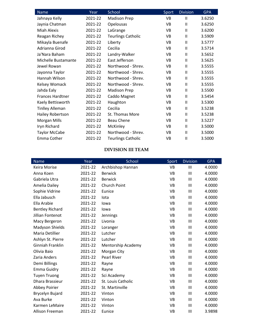| <b>Name</b>            | Year    | School                    | Sport     | <b>Division</b> | <b>GPA</b> |
|------------------------|---------|---------------------------|-----------|-----------------|------------|
| Jahnaya Kelly          | 2021-22 | <b>Madison Prep</b>       | <b>VB</b> | Ш               | 3.6250     |
| Jaynia Chatman         | 2021-22 | Opelousas                 | VB        | $\mathsf{I}$    | 3.6250     |
| <b>Miah Alexis</b>     | 2021-22 | LaGrange                  | VB        | $\mathbf{I}$    | 3.6200     |
| Reagan Richey          | 2021-22 | <b>Teurlings Catholic</b> | VB        | $\mathbf{I}$    | 3.5909     |
| Mikayla Buenafe        | 2021-22 | Liberty                   | VB        | $\mathsf{I}$    | 3.5777     |
| Adrianna Girod         | 2021-22 | Cecilia                   | <b>VB</b> | $\mathbf{I}$    | 3.5714     |
| Ja'Nara Baham          | 2021-22 | Landry-Walker             | VB        | $\sf II$        | 3.5652     |
| Michelle Bustamante    | 2021-22 | East Jefferson            | <b>VB</b> | $\mathbf{II}$   | 3.5625     |
| Jewel Rowan            | 2021-22 | Northwood - Shrev.        | VB        | $\mathsf{I}$    | 3.5555     |
| Jayonna Taylor         | 2021-22 | Northwood - Shrev.        | VB        | $\mathbf{I}$    | 3.5555     |
| Hannah Wilson          | 2021-22 | Northwood - Shrev.        | VB        | $\mathbf{II}$   | 3.5555     |
| Kelsey Womack          | 2021-22 | Northwood - Shrev.        | VB        | $\mathsf{I}$    | 3.5555     |
| Jahda Ealy             | 2021-22 | <b>Madison Prep</b>       | <b>VB</b> | $\mathbf{I}$    | 3.5500     |
| Frances Hardtner       | 2021-22 | Caddo Magnet              | VB        | $\mathbf{I}$    | 3.5454     |
| Kaely Bettisworth      | 2021-22 | Haughton                  | VB        | $\mathbf{I}$    | 3.5300     |
| <b>Tinlley Alleman</b> | 2021-22 | Cecilia                   | <b>VB</b> | $\mathbf{I}$    | 3.5238     |
| Hailey Robertson       | 2021-22 | St. Thomas More           | VB        | $\mathbf{I}$    | 3.5238     |
| Morgan Mills           | 2021-22 | <b>Beau Chene</b>         | VB        | $\mathbf{I}$    | 3.5227     |
| Iryn Richard           | 2021-22 | McKinley                  | VB        | $\mathbf{I}$    | 3.5000     |
| <b>Taylor McCabe</b>   | 2021-22 | Northwood - Shrev.        | VB        | $\mathbf{I}$    | 3.5000     |
| Emma Cother            | 2021-22 | <b>Teurlings Catholic</b> | VB        | $\mathsf{I}$    | 3.5000     |

#### **DIVISION III TEAM**

| <b>Name</b>            | Year    | School             | Sport     | <b>Division</b> | <b>GPA</b> |
|------------------------|---------|--------------------|-----------|-----------------|------------|
| Keira Morise           | 2021-22 | Archbishop Hannan  | <b>VB</b> | Ш               | 4.0000     |
| Anna Koen              | 2021-22 | <b>Berwick</b>     | VB        | Ш               | 4.0000     |
| Gabriela Utra          | 2021-22 | <b>Berwick</b>     | VB        | Ш               | 4.0000     |
| Amelia Dailey          | 2021-22 | Church Point       | VB        | Ш               | 4.0000     |
| Sophie Vidrine         | 2021-22 | Eunice             | VB        | Ш               | 4.0000     |
| Ella Jabusch           | 2021-22 | lota               | VB        | Ш               | 4.0000     |
| Ella Arabie            | 2021-22 | lowa               | <b>VB</b> | III             | 4.0000     |
| <b>Bentley Richard</b> | 2021-22 | lowa               | <b>VB</b> | Ш               | 4.0000     |
| Jillian Fontenot       | 2021-22 | Jennings           | VB        | Ш               | 4.0000     |
| Macy Bergeron          | 2021-22 | Livonia            | VB        | Ш               | 4.0000     |
| Madyson Shields        | 2021-22 | Loranger           | VB        | Ш               | 4.0000     |
| Maria Detillier        | 2021-22 | Lutcher            | VB        | Ш               | 4.0000     |
| Ashlyn St. Pierre      | 2021-22 | Lutcher            | VB        | Ш               | 4.0000     |
| Ginniah Franklin       | 2021-22 | Mentorship Academy | VB        | III             | 4.0000     |
| Olivia Baio            | 2021-22 | Morgan City        | VB        | Ш               | 4.0000     |
| Zaria Anders           | 2021-22 | <b>Pearl River</b> | VB        | Ш               | 4.0000     |
| Demi Billings          | 2021-22 | Rayne              | VB        | Ш               | 4.0000     |
| <b>Emma Guidry</b>     | 2021-22 | Rayne              | VB        | Ш               | 4.0000     |
| <b>Tuyen Truong</b>    | 2021-22 | Sci Academy        | <b>VB</b> | Ш               | 4.0000     |
| Dhara Brassieur        | 2021-22 | St. Louis Catholic | VB        | Ш               | 4.0000     |
| Abbey Poirier          | 2021-22 | St. Martinville    | <b>VB</b> | Ш               | 4.0000     |
| Brycelyn Bujard        | 2021-22 | Vinton             | <b>VB</b> | Ш               | 4.0000     |
| Ava Burke              | 2021-22 | Vinton             | VB        | Ш               | 4.0000     |
| Karmen LeMaire         | 2021-22 | Vinton             | VB        | Ш               | 4.0000     |
| Allison Freeman        | 2021-22 | Eunice             | <b>VB</b> | Ш               | 3.9898     |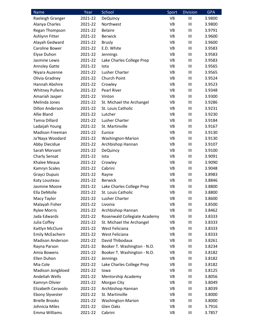| Name                    | Year    | School                       | Sport     | <b>Division</b> | <b>GPA</b> |
|-------------------------|---------|------------------------------|-----------|-----------------|------------|
| Raeleigh Granger        | 2021-22 | <b>DeQuincy</b>              | <b>VB</b> | III             | 3.9800     |
| Alanya Charles          | 2021-22 | Northwest                    | VB        | $\mathbf{III}$  | 3.9800     |
| Regan Thompson          | 2021-22 | <b>Belaire</b>               | VB        | $\mathbf{III}$  | 3.9791     |
| Ashlynn Fitter          | 2021-22 | <b>Berwick</b>               | <b>VB</b> | Ш               | 3.9600     |
| Alayah Gedward          | 2021-22 | <b>Brusly</b>                | <b>VB</b> | $\mathbf{III}$  | 3.9600     |
| Caroline Bower          | 2021-22 | E.D. White                   | <b>VB</b> | $\mathbf{III}$  | 3.9583     |
| Elyse Duhon             | 2021-22 | Jennings                     | <b>VB</b> | $\mathbf{III}$  | 3.9583     |
| Jasmine Lewis           | 2021-22 | Lake Charles College Prep    | <b>VB</b> | $\mathbf{III}$  | 3.9583     |
| <b>Annsley Gatte</b>    | 2021-22 | lota                         | VB        | Ш               | 3.9565     |
| Niyara Auzenne          | 2021-22 | Lusher Charter               | <b>VB</b> | $\mathbf{III}$  | 3.9565     |
| Olivia Gradney          | 2021-22 | Church Point                 | <b>VB</b> | $\mathbf{III}$  | 3.9524     |
| Hannah Abshire          | 2021-22 | Crowley                      | <b>VB</b> | $\mathbf{III}$  | 3.9523     |
| <b>Whitney Pullens</b>  | 2021-22 | Pearl River                  | <b>VB</b> | $\mathbf{III}$  | 3.9348     |
| Amariah Jasper          | 2021-22 | Vinton                       | <b>VB</b> | Ш               | 3.9300     |
| Melinda Jones           | 2021-22 | St. Michael the Archangel    | <b>VB</b> | $\mathbf{III}$  | 3.9286     |
| Dillon Anderson         | 2021-22 | St. Louis Catholic           | <b>VB</b> | Ш               | 3.9231     |
| Allie Bland             | 2021-22 | Lutcher                      | <b>VB</b> | $\mathbf{III}$  | 3.9230     |
| <b>Tamia Dillard</b>    | 2021-22 | Lusher Charter               | <b>VB</b> | $\mathbf{III}$  | 3.9184     |
| Ladaijah Young          | 2021-22 | St. Martinville              | <b>VB</b> | $\mathbf{III}$  | 3.9167     |
| <b>Madison Freeman</b>  | 2021-22 | Eunice                       | <b>VB</b> | $\mathbf{III}$  | 3.9130     |
| Ja'Naya Woodard         | 2021-22 | Washington-Marion            | VB        | Ш               | 3.9130     |
| Abby Diecidue           | 2021-22 | Archbishop Hannan            | <b>VB</b> | $\mathbf{III}$  | 3.9107     |
| Sarah Morvant           | 2021-22 | <b>DeQuincy</b>              | <b>VB</b> | $\mathbf{III}$  | 3.9100     |
| <b>Charly Sensat</b>    | 2021-22 | lota                         | <b>VB</b> | Ш               | 3.9091     |
| <b>Khalee Meaux</b>     | 2021-22 | Crowley                      | <b>VB</b> | $\mathbf{III}$  | 3.9090     |
| Kamryn Scales           | 2021-22 | Cabrini                      | <b>VB</b> | Ш               | 3.9048     |
| Grayci Dupuis           | 2021-22 | Rayne                        | <b>VB</b> | $\mathbf{III}$  | 3.8983     |
| Katy Lousteau           | 2021-22 | <b>Berwick</b>               | VB        | Ш               | 3.8846     |
| Jasmine Moore           | 2021-22 | Lake Charles College Prep    | VB        | Ш               | 3.8800     |
| Ella DeMolle            | 2021-22 | St. Louis Catholic           | <b>VB</b> | Ш               | 3.8800     |
| Macy Taylor             | 2021-22 | Lusher Charter               | VB        | Ш               | 3.8600     |
| Malayah Fisher          | 2021-22 | Livonia                      | <b>VB</b> | $\mathbf{III}$  | 3.8500     |
| <b>Rylee Morris</b>     | 2021-22 | Archbishop Hannan            | VB        | Ш               | 3.8462     |
| Jada Edwards            | 2021-22 | Rosenwald Collegiate Academy | VB        | $\mathbf{III}$  | 3.8333     |
| Julia Coffey            | 2021-22 | St. Michael the Archangel    | VB        | Ш               | 3.8333     |
| Kaitlyn McClure         | 2021-22 | West Feliciana               | VB        | $\mathbf{III}$  | 3.8333     |
| <b>Emily McEachern</b>  | 2021-22 | West Feliciana               | VB        | $\mathbf{III}$  | 3.8333     |
| <b>Madison Anderson</b> | 2021-22 | David Thibodaux              | VB        | Ш               | 3.8261     |
| Rayna Parson            | 2021-22 | Booker T. Washington - N.O.  | VB        | $\mathbf{III}$  | 3.8234     |
| Amia Bowens             | 2021-22 | Booker T. Washington - N.O.  | VB        | Ш               | 3.8182     |
| Ellen Duhon             | 2021-22 | Jennings                     | VB        | $\mathbf{III}$  | 3.8182     |
| Mia Cole                | 2021-22 | Lake Charles College Prep    | VB        | $\mathbf{III}$  | 3.8182     |
| Madison Jongbloed       | 2021-22 | lowa                         | VB        | Ш               | 3.8125     |
| Andeliah Wells          | 2021-22 | Mentorship Academy           | VB        | $\mathbf{III}$  | 3.8056     |
| Kamryn Olivier          | 2021-22 | Morgan City                  | VB        | Ш               | 3.8049     |
| Elizabeth Ceravolo      | 2021-22 | Archbishop Hannan            | VB        | Ш               | 3.8039     |
| <b>Ebony Slyvester</b>  | 2021-22 | St. Martinville              | VB        | Ш               | 3.8000     |
| <b>Brielle Brooks</b>   | 2021-22 | Washington-Marion            | VB        | Ш               | 3.8000     |
| Johnicia Miles          | 2021-22 | Glen Oaks                    | VB        | Ш               | 3.7916     |
| Emma Williams           | 2021-22 | Cabrini                      | VB        | Ш               | 3.7857     |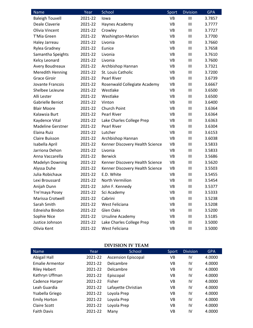| Name                     | Year    | School                          | Sport     | <b>Division</b> | <b>GPA</b> |
|--------------------------|---------|---------------------------------|-----------|-----------------|------------|
| <b>Baleigh Touvell</b>   | 2021-22 | lowa                            | <b>VB</b> | $\mathbf{III}$  | 3.7857     |
| Deale Claverie           | 2021-22 | Haynes Academy                  | VB        | $\mathbf{III}$  | 3.7777     |
| Olivia Vincent           | 2021-22 | Crowley                         | <b>VB</b> | Ш               | 3.7727     |
| T'Mia Green              | 2021-22 | Washington-Marion               | <b>VB</b> | Ш               | 3.7700     |
| Haley Jarreau            | 2021-22 | Livonia                         | <b>VB</b> | Ш               | 3.7660     |
| Rylea Gradney            | 2021-22 | Eunice                          | <b>VB</b> | Ш               | 3.7658     |
| Samantha Speights        | 2021-22 | Livonia                         | <b>VB</b> | Ш               | 3.7610     |
| Kelcy Leonard            | 2021-22 | Livonia                         | <b>VB</b> | Ш               | 3.7600     |
| <b>Avery Boudreaux</b>   | 2021-22 | Archbishop Hannan               | <b>VB</b> | Ш               | 3.7321     |
| <b>Meredith Henning</b>  | 2021-22 | St. Louis Catholic              | <b>VB</b> | Ш               | 3.7200     |
| <b>Grace Giroir</b>      | 2021-22 | Pearl River                     | <b>VB</b> | Ш               | 3.6739     |
| Jovante Francois         | 2021-22 | Rosenwald Collegiate Academy    | VB        | Ш               | 3.6667     |
| Shelbee LeJeune          | 2021-22 | Westlake                        | <b>VB</b> | Ш               | 3.6500     |
| Alli Lester              | 2021-22 | Westlake                        | <b>VB</b> | Ш               | 3.6500     |
| Gabrielle Beniot         | 2021-22 | Vinton                          | <b>VB</b> | Ш               | 3.6400     |
| <b>Blair Moore</b>       | 2021-22 | Church Point                    | <b>VB</b> | Ш               | 3.6364     |
| Kalawsia Burt            | 2021-22 | <b>Pearl River</b>              | <b>VB</b> | Ш               | 3.6364     |
| Kaydence Vital           | 2021-22 | Lake Charles College Prep       | <b>VB</b> | Ш               | 3.6363     |
| <b>Madeline Gerstner</b> | 2021-22 | <b>Pearl River</b>              | <b>VB</b> | Ш               | 3.6304     |
| Elaina Ruiz              | 2021-22 | Lutcher                         | <b>VB</b> | Ш               | 3.6153     |
| Claire Buisson           | 2021-22 | Archbishop Hannan               | <b>VB</b> | Ш               | 3.6038     |
| Isabella April           | 2021-22 | Kenner Discovery Health Science | <b>VB</b> | $\mathbf{III}$  | 3.5833     |
| Jarriona Dehon           | 2021-22 | Livonia                         | <b>VB</b> | Ш               | 3.5833     |
| Anna Vaccarella          | 2021-22 | <b>Berwick</b>                  | <b>VB</b> | Ш               | 3.5686     |
| <b>Madelyn Downing</b>   | 2021-22 | Kenner Discovery Health Science | <b>VB</b> | Ш               | 3.5620     |
| Alyssa Duhe              | 2021-22 | Kenner Discovery Health Science | <b>VB</b> | Ш               | 3.5503     |
| Julia Robichaux          | 2021-22 | E.D. White                      | <b>VB</b> | Ш               | 3.5455     |
| Lexi Broussard           | 2021-22 | North Vermilion                 | <b>VB</b> | Ш               | 3.5454     |
| Anijah Dunn              | 2021-22 | John F. Kennedy                 | <b>VB</b> | Ш               | 3.5377     |
| Tre'maya Posey           | 2021-22 | Sci Academy                     | <b>VB</b> | $\mathbf{III}$  | 3.5333     |
| Marissa Crotwell         | 2021-22 | Cabrini                         | VB        | Ш               | 3.5238     |
| Sarah Smith              | 2021-22 | West Feliciana                  | <b>VB</b> | Ш               | 3.5208     |
| Edneisha Bindon          | 2021-22 | Glen Oaks                       | <b>VB</b> | Ш               | 3.5200     |
| Sophie Nice              | 2021-22 | <b>Ursuline Academy</b>         | <b>VB</b> | Ш               | 3.5185     |
| Justice Johnson          | 2021-22 | Lake Charles College Prep       | <b>VB</b> | Ш               | 3.5000     |
| Olivia Kent              | 2021-22 | West Feliciana                  | VB        | Ш               | 3.5000     |

#### **DIVISION IV TEAM**

| <b>Name</b>            | Year    | School                     | Sport     | <b>Division</b> | <b>GPA</b> |
|------------------------|---------|----------------------------|-----------|-----------------|------------|
| Abigail Hall           | 2021-22 | <b>Ascension Episcopal</b> | VB        | IV              | 4.0000     |
| <b>Emalie Armentor</b> | 2021-22 | Delcambre                  | VB        | IV              | 4.0000     |
| <b>Riley Hebert</b>    | 2021-22 | Delcambre                  | VB        | IV              | 4.0000     |
| Kathryn Uffman         | 2021-22 | Episcopal                  | VB        | IV              | 4.0000     |
| Cadence Harper         | 2021-22 | Fisher                     | VB        | IV              | 4.0000     |
| Leah Guardia           | 2021-22 | Lafayette Christian        | VB        | IV              | 4.0000     |
| Ysabella Griego        | 2021-22 | Loyola Prep                | VB        | IV              | 4.0000     |
| <b>Emily Horton</b>    | 2021-22 | Loyola Prep                | <b>VB</b> | IV              | 4.0000     |
| <b>Claire Scott</b>    | 2021-22 | Loyola Prep                | VB        | IV              | 4.0000     |
| <b>Faith Davis</b>     | 2021-22 | Many                       | VB        | IV              | 4.0000     |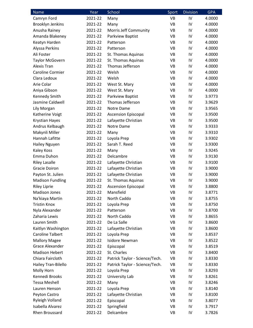| Name                    | Year               | School                         | Sport | <b>Division</b> | <b>GPA</b> |
|-------------------------|--------------------|--------------------------------|-------|-----------------|------------|
| Camryn Ford             | 2021-22            | Many                           | VB    | IV              | 4.0000     |
| <b>Brooklyn Jenkins</b> | 2021-22            | Many                           | VB    | IV              | 4.0000     |
| Anusha Rainey           | 2021-22            | Morris Jeff Community          | VB    | IV              | 4.0000     |
| Amanda Blakeney         | 2021-22            | Parkview Baptist               | VB    | IV              | 4.0000     |
| Keatyn Harden           | 2021-22            | Patterson                      | VB    | IV              | 4.0000     |
| Alyssa Perkins          | 2021-22            | Patterson                      | VB    | IV              | 4.0000     |
| Ali Foster              | 2021-22            | St. Thomas Aquinas             | VB    | IV              | 4.0000     |
| <b>Taylor McGovern</b>  | 2021-22            | St. Thomas Aquinas             | VB    | IV              | 4.0000     |
| Alexis Tran             | 2021-22            | Thomas Jefferson               | VB    | IV              | 4.0000     |
| Caroline Cormier        | 2021-22            | Welsh                          | VB    | IV              | 4.0000     |
| Clara Ledoux            | 2021-22            | Welsh                          | VB    | IV              | 4.0000     |
| Arie Colar              | 2021-22            | West St. Mary                  | VB    | IV              | 4.0000     |
| Aniya Gibson            | 2021-22            | West St. Mary                  | VB    | IV              | 4.0000     |
| Kennedy Smith           | 2021-22            | Parkview Baptist               | VB    | IV              | 3.9773     |
| Jasmine Caldwell        | 2021-22            | Thomas Jefferson               | VB    | IV              | 3.9629     |
| Lily Morgan             | 2021-22            | Notre Dame                     | VB    | IV              | 3.9565     |
| Katherine Voigt         | 2021-22            | <b>Ascension Episcopal</b>     | VB    | IV              | 3.9500     |
| <b>Krystian Hayes</b>   | 2021-22            | Lafayette Christian            | VB    | IV              | 3.9500     |
| Andrus Kelbaugh         | 2021-22            | Notre Dame                     | VB    | IV              | 3.9333     |
| Makynli Miller          | 2021-22            | Many                           | VB    | IV              | 3.9310     |
| Hannah Lafitte          | 2021-22            | Loyola Prep                    | VB    | IV              | 3.9302     |
| Hailey Nguyen           | 2021-22            | Sarah T. Reed                  | VB    | IV              | 3.9300     |
| Kaley Koss              | 2021-22            | Many                           | VB    | IV              | 3.9245     |
| Emma Duhon              | 2021-22            | Delcambre                      | VB    | IV              | 3.9130     |
| <b>Riley Lasalle</b>    | 2021-22            | Lafayette Christian            | VB    | IV              | 3.9100     |
| <b>Gracie Doiron</b>    | 2021-22            | Lafayette Christian            | VB    | IV              | 3.9000     |
| Payton St. Julien       | 2021-22            | Lafayette Christian            | VB    | IV              | 3.9000     |
| <b>Madison Fundling</b> | 2021-22            | St. Thomas Aquinas             | VB    | IV              | 3.9000     |
| <b>Riley Liprie</b>     | 2021-22            | <b>Ascension Episcopal</b>     | VB    | IV              | 3.8800     |
| <b>Madison Jones</b>    | 2021-22            | Mansfield                      | VB    | IV              | 3.8771     |
| Na'kiaya Martin         | 2021-22            | North Caddo                    | VB    | IV              | 3.8755     |
| <b>Tristin Knox</b>     | 2021-22            | Loyola Prep                    | VB    | IV              | 3.8750     |
| Nyla Alexander          | 2021-22            | Patterson                      | VB    | IV              | 3.8700     |
| Zaharia Lewis           | 2021-22            | North Caddo                    | VB    | IV              | 3.8655     |
| Lauren Smith            | 2021-22            | De La Salle                    | VB    | IV              | 3.8600     |
| Kaitlyn Washington      | 2021-22            | Lafayette Christian            | VB    | IV              | 3.8600     |
| <b>Caroline Talbert</b> | 2021-22            | Loyola Prep                    | VB    | IV              | 3.8537     |
| <b>Mallory Magee</b>    | 2021-22            | <b>Isidore Newman</b>          | VB    | IV              | 3.8522     |
| Grace Alexander         | 2021-22            | Episcopal                      | VB    | IV              | 3.8519     |
| <b>Madison Hebert</b>   | 2021-22            | St. Charles                    | VB    | IV              | 3.8400     |
| Chiara Faircloth        | 2021-22            | Patrick Taylor - Science/Tech. | VB    | IV              | 3.8330     |
| Hailey Tran-Bilello     | 2021-22            | Patrick Taylor - Science/Tech. | VB    | IV              | 3.8330     |
| Molly Horn              | 2021-22            | Loyola Prep                    | VB    | IV              | 3.8293     |
| Kennedi Brooks          | 2021-22            | University Lab                 | VB    | IV              | 3.8261     |
| <b>Tessa Meshell</b>    | 2021-22            | Many                           | VB    | IV              | 3.8246     |
| Lauren Henson           | 2021-22            | Loyola Prep                    | VB    | IV              | 3.8140     |
| Peyton Castro           | 2021-22            | Lafayette Christian            | VB    | IV              | 3.8100     |
| <b>Ryleigh Volland</b>  |                    |                                | VB    | IV              |            |
| Isabella Alvarez        | 2021-22<br>2021-22 | Episcopal                      | VB    | IV              | 3.8077     |
|                         |                    | Springfield                    |       |                 | 3.7917     |
| Rhen Broussard          | 2021-22            | Delcambre                      | VB    | IV              | 3.7826     |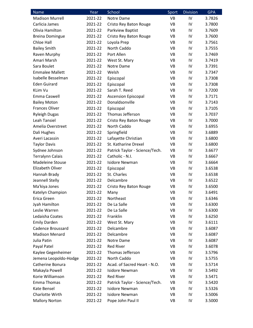| <b>Name</b>              | Year    | School                         | Sport     | <b>Division</b> | <b>GPA</b> |
|--------------------------|---------|--------------------------------|-----------|-----------------|------------|
| <b>Madison Murrell</b>   | 2021-22 | Notre Dame                     | <b>VB</b> | IV              | 3.7826     |
| Carlicia James           | 2021-22 | Cristo Rey Baton Rouge         | VB        | IV              | 3.7800     |
| Olivia Hamilton          | 2021-22 | Parkview Baptist               | <b>VB</b> | IV              | 3.7609     |
| <b>Breina Domingue</b>   | 2021-22 | Cristo Rey Baton Rouge         | VB        | IV              | 3.7600     |
| Chloe Hall               | 2021-22 | Loyola Prep                    | VB        | IV              | 3.7561     |
| <b>Bailey Smith</b>      | 2021-22 | North Caddo                    | <b>VB</b> | IV              | 3.7555     |
| Raven Murphy             | 2021-22 | Port Allen                     | VB        | IV              | 3.7469     |
| Amari Marsh              | 2021-22 | West St. Mary                  | <b>VB</b> | IV              | 3.7419     |
| Sara Boulet              | 2021-22 | Notre Dame                     | <b>VB</b> | IV              | 3.7391     |
| <b>Emmalee Mallett</b>   | 2021-22 | Welsh                          | VB        | IV              | 3.7347     |
| Isabelle Besselman       | 2021-22 | Episcopal                      | <b>VB</b> | IV              | 3.7308     |
| <b>Eden Guirard</b>      | 2021-22 | Episcopal                      | VB        | IV              | 3.7308     |
| <b>KLim Vu</b>           | 2021-22 | Sarah T. Reed                  | <b>VB</b> | IV              | 3.7200     |
| Emma Caswell             | 2021-22 | <b>Ascension Episcopal</b>     | VB        | IV              | 3.7171     |
| <b>Bailey Moton</b>      | 2021-22 | Donaldsonville                 | VB        | IV              | 3.7143     |
| <b>Frances Oliver</b>    | 2021-22 | Episcopal                      | <b>VB</b> | IV              | 3.7105     |
| <b>Ryleigh Dugas</b>     | 2021-22 | Thomas Jefferson               | VB        | IV              | 3.7037     |
| <b>Leah Tansiel</b>      | 2021-22 | Cristo Rey Baton Rouge         | VB        | IV              | 3.7000     |
| Amelia Overstreet        | 2021-22 | North Caddo                    | VB        | IV              | 3.6955     |
| Dali Hughes              | 2021-22 | Springfield                    | VB        | IV              | 3.6889     |
| Averi Lacassin           | 2021-22 | Lafayette Christian            | VB        | IV              | 3.6800     |
| <b>Taylor Davis</b>      | 2021-22 | St. Katharine Drexel           | <b>VB</b> | IV              | 3.6800     |
| Sydnee Johnson           | 2021-22 | Patrick Taylor - Science/Tech. | <b>VB</b> | IV              | 3.6677     |
| <b>Terralynn Calais</b>  | 2021-22 | Catholic - N.I.                | VB        | IV              | 3.6667     |
| <b>Madeleine Stouse</b>  | 2021-22 | <b>Isidore Newman</b>          | VB        | IV              | 3.6664     |
| Elizabeth Oliver         | 2021-22 | Episcopal                      | VB        | IV              | 3.6538     |
| Hannah Brady             | 2021-22 | St. Charles                    | <b>VB</b> | IV              | 3.6538     |
| Jeannell Stelly          | 2021-22 | Delcambre                      | VB        | IV              | 3.6522     |
| Ma'kiya Jones            | 2021-22 | Cristo Rey Baton Rouge         | <b>VB</b> | IV              | 3.6500     |
| Katelyn Champion         | 2021-22 | Many                           | <b>VB</b> | IV              | 3.6491     |
| Erica Green              | 2021-22 | Northeast                      | VB        | IV              | 3.6346     |
| Jyah Hamilton            | 2021-22 | De La Salle                    | <b>VB</b> | IV              | 3.6300     |
| Leslie Warren            | 2021-22 | De La Salle                    | VB        | IV              | 3.6300     |
| Ledaisha Coates          | 2021-22 | Franklin                       | VB        | IV              | 3.6250     |
| <b>Emily Darden</b>      | 2021-22 | West St. Mary                  | VB        | IV              | 3.6111     |
| <b>Cadence Broussard</b> | 2021-22 | Delcambre                      | VB        | IV              | 3.6087     |
| <b>Madison Menard</b>    | 2021-22 | Delcambre                      | VB        | IV              | 3.6087     |
| Julia Patin              | 2021-22 | Notre Dame                     | VB        | IV              | 3.6087     |
| Payal Patel              | 2021-22 | <b>Red River</b>               | VB        | IV              | 3.6078     |
| Kaylee Gegenheimer       | 2021-22 | Thomas Jefferson               | VB        | IV              | 3.5796     |
| Jemena Leopoldo-Hodge    | 2021-22 | North Caddo                    | VB        | IV              | 3.5755     |
| Catherine Bonura         | 2021-22 | Acad. of Sacred Heart - N.O.   | VB        | IV              | 3.5714     |
| Makayla Powell           | 2021-22 | <b>Isidore Newman</b>          | VB        | IV              | 3.5492     |
| Korie Williamson         | 2021-22 | <b>Red River</b>               | <b>VB</b> | IV              | 3.5471     |
| Emma Thomas              | 2021-22 | Patrick Taylor - Science/Tech. | VB        | IV              | 3.5420     |
| Kate Bensel              | 2021-22 | <b>Isidore Newman</b>          | VB        | IV              | 3.5326     |
| Charlotte Wirth          | 2021-22 | <b>Isidore Newman</b>          | VB        | IV              | 3.5006     |
| <b>Mallory Norton</b>    | 2021-22 | Pope John Paul II              | VB        | IV              | 3.5000     |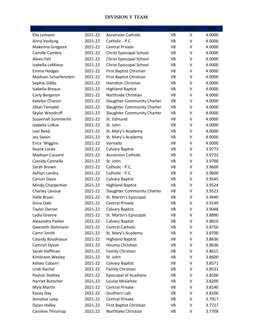### **DIVISION V TEAM**

| Name                         | Year    | School                             | Sport     | <b>Division</b> | <b>GPA</b> |
|------------------------------|---------|------------------------------------|-----------|-----------------|------------|
| Ella Lemann                  | 2021-22 | <b>Ascension Catholic</b>          | <b>VB</b> | $\vee$          | 4.0000     |
| Anna Vosburg                 | 2021-22 | Catholic - P.C.                    | VB        | V               | 4.0000     |
| Makenna Gregoire             | 2021-22 | <b>Central Private</b>             | VB        | V               | 4.0000     |
| Camille Cambre               | 2021-22 | Christ Episcopal School            | <b>VB</b> | $\vee$          | 4.0000     |
| <b>Alexis Fell</b>           | 2021-22 | <b>Christ Episcopal School</b>     | VB        | V               | 4.0000     |
| Isabella LeMieux             | 2021-22 | Christ Episcopal School            | <b>VB</b> | V               | 4.0000     |
| <b>Emma Hodges</b>           | 2021-22 | First Baptist Christian            | VB        | V               | 4.0000     |
| <b>Madison Scharfenstein</b> | 2021-22 | First Baptist Christian            | VB        | V               | 4.0000     |
| Sophie Gibbs                 | 2021-22 | Hamilton Christian                 | VB        | V               | 4.0000     |
| Isabella Breaux              | 2021-22 | <b>Highland Baptist</b>            | VB        | V               | 4.0000     |
| Carly Bergeron               | 2021-22 | Northside Christian                | <b>VB</b> | V               | 4.0000     |
| Katelyn Chacon               | 2021-22 | Slaughter Community Charter        | VB        | V               | 4.0000     |
| Jillian Templet              | 2021-22 | <b>Slaughter Community Charter</b> | <b>VB</b> | V               | 4.0000     |
| Skylar Woodruff              | 2021-22 | Slaughter Community Charter        | VB        | V               | 4.0000     |
| Susannah Summerlin           | 2021-22 | St. Edmund                         | <b>VB</b> | V               | 4.0000     |
| Isabella LoBue               | 2021-22 | St. John                           | <b>VB</b> | V               | 4.0000     |
| Lexi Reed                    | 2021-22 | St. Mary's Academy                 | VB        | V               | 4.0000     |
| <b>Joy Swain</b>             | 2021-22 | St. Mary's Academy                 | VB        | V               | 4.0000     |
| Erica `Wiggins               | 2021-22 | Varnado                            | VB        | V               | 4.0000     |
| Rayne Locke                  | 2021-22 | <b>Calvary Baptist</b>             | VB        | V               | 3.9773     |
| Madisyn Cassard              | 2021-22 | <b>Ascension Catholic</b>          | <b>VB</b> | V               | 3.9722     |
| Cassidy Cannella             | 2021-22 | St. John                           | VB        | V               | 3.9700     |
| Sarah Brown                  | 2021-22 | Catholic - P.C.                    | VB        | V               | 3.9600     |
| Ashlyn Landry                | 2021-22 | Catholic - P.C.                    | VB        | V               | 3.9600     |
| <b>Carson Davis</b>          | 2021-22 | <b>Calvary Baptist</b>             | VB        | V               | 3.9545     |
| Mindy Charpentier            | 2021-22 | <b>Highland Baptist</b>            | VB        | V               | 3.9524     |
| Charley Lanoue               | 2021-22 | <b>Slaughter Community Charter</b> | VB        | V               | 3.9523     |
| Halle Bryan                  | 2021-22 | St. Martin's Episcopal             | VB        | V               | 3.9440     |
| Anna Dale                    | 2021-22 | <b>Central Private</b>             | VB        | V               | 3.9149     |
| <b>Taylor Darner</b>         | 2021-22 | Calvary Baptist                    | <b>VB</b> | V               | 3.9048     |
| Lydia Greene                 | 2021-22 | St. Martin's Episcopal             | VB        | V               | 3.8890     |
| Alexandra Parker             | 2021-22 | Calvary Baptist                    | VB        | V               | 3.8810     |
| Gweneth Dohmann              | 2021-22 | <b>Central Catholic</b>            | VB        | V               | 3.8750     |
| Camri Smith                  | 2021-22 | St. Mary's Academy                 | VB        | V               | 3.8700     |
| Cassidy Boudreaux            | 2021-22 | <b>Highland Baptist</b>            | VB        | V               | 3.8636     |
| Camryn Dyson                 | 2021-22 | Houma Christian                    | VB        | V               | 3.8636     |
| Sarah Hoffman                | 2021-22 | Family Christian                   | VB        | V               | 3.8615     |
| Kimbreon Wesley              | 2021-22 | St. John                           | VB        | V               | 3.8600     |
| Kelsey Coburn                | 2021-22 | <b>Calvary Baptist</b>             | VB        | V               | 3.8571     |
| Lindi Rachal                 | 2021-22 | Family Christian                   | VB        | V               | 3.8531     |
| Peyton Stokley               | 2021-22 | Episcopal of Acadiana              | VB        | V               | 3.8200     |
| Harriet Butscher             | 2021-22 | Louise McGehee                     | VB        | V               | 3.8200     |
| Myla Martin                  | 2021-22 | <b>Central Private</b>             | VB        | V               | 3.8140     |
| Kacey Day                    | 2021-22 | Southern Lab                       | VB        | V               | 3.8100     |
| Annalise Leep                | 2021-22 | <b>Central Private</b>             | VB        | V               | 3.7917     |
| Dylan Holley                 | 2021-22 | First Baptist Christian            | VB        | V               | 3.7727     |
| Caroline Thirstrup           | 2021-22 | Northlake Christian                | VB        | V               | 3.7708     |